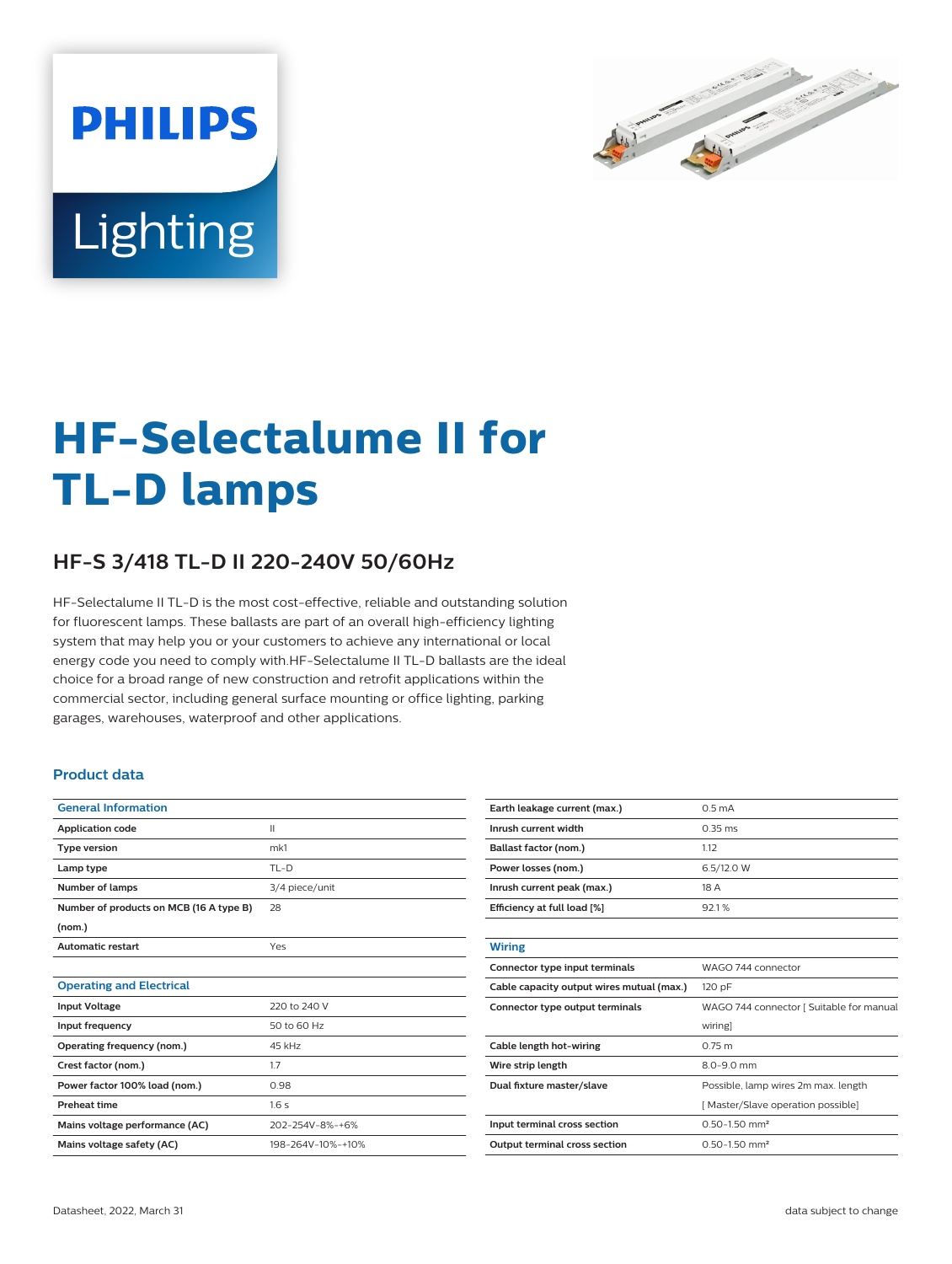

# Lighting

**PHILIPS** 

# **HF-Selectalume II for TL-D lamps**

## **HF-S 3/418 TL-D II 220-240V 50/60Hz**

HF-Selectalume II TL-D is the most cost-effective, reliable and outstanding solution for fluorescent lamps. These ballasts are part of an overall high-efficiency lighting system that may help you or your customers to achieve any international or local energy code you need to comply with.HF-Selectalume II TL-D ballasts are the ideal choice for a broad range of new construction and retrofit applications within the commercial sector, including general surface mounting or office lighting, parking garages, warehouses, waterproof and other applications.

#### **Product data**

| <b>General Information</b>              |                   |
|-----------------------------------------|-------------------|
| <b>Application code</b>                 | $\mathbf{I}$      |
| <b>Type version</b>                     | mk1               |
| Lamp type                               | $TL-D$            |
| Number of lamps                         | 3/4 piece/unit    |
| Number of products on MCB (16 A type B) | 28                |
| (nom.)                                  |                   |
| <b>Automatic restart</b>                | Yes               |
|                                         |                   |
| <b>Operating and Electrical</b>         |                   |
| <b>Input Voltage</b>                    | 220 to 240 V      |
| Input frequency                         | 50 to 60 Hz       |
| Operating frequency (nom.)              | 45 kHz            |
| Crest factor (nom.)                     | 1.7               |
| Power factor 100% load (nom.)           | 0.98              |
| <b>Preheat time</b>                     | 1.6s              |
| Mains voltage performance (AC)          | 202-254V-8%-+6%   |
| Mains voltage safety (AC)               | 198-264V-10%-+10% |

| Earth leakage current (max.)              | 0.5 <sub>m</sub> A                       |
|-------------------------------------------|------------------------------------------|
| Inrush current width                      | $0.35$ ms                                |
| Ballast factor (nom.)                     | 1.12                                     |
| Power losses (nom.)                       | 6.5/12.0 W                               |
| Inrush current peak (max.)                | 18 A                                     |
| Efficiency at full load [%]               | 92.1%                                    |
|                                           |                                          |
| <b>Wiring</b>                             |                                          |
| Connector type input terminals            | WAGO 744 connector                       |
| Cable capacity output wires mutual (max.) | 120 pF                                   |
| Connector type output terminals           | WAGO 744 connector [ Suitable for manual |
|                                           | wiring]                                  |
| Cable length hot-wiring                   | $0.75$ m                                 |
| Wire strip length                         | $8.0 - 9.0$ mm                           |
| Dual fixture master/slave                 | Possible, lamp wires 2m max. length      |
|                                           | [Master/Slave operation possible]        |
| Input terminal cross section              | $0.50 - 1.50$ mm <sup>2</sup>            |
| <b>Output terminal cross section</b>      | $0.50 - 1.50$ mm <sup>2</sup>            |
|                                           |                                          |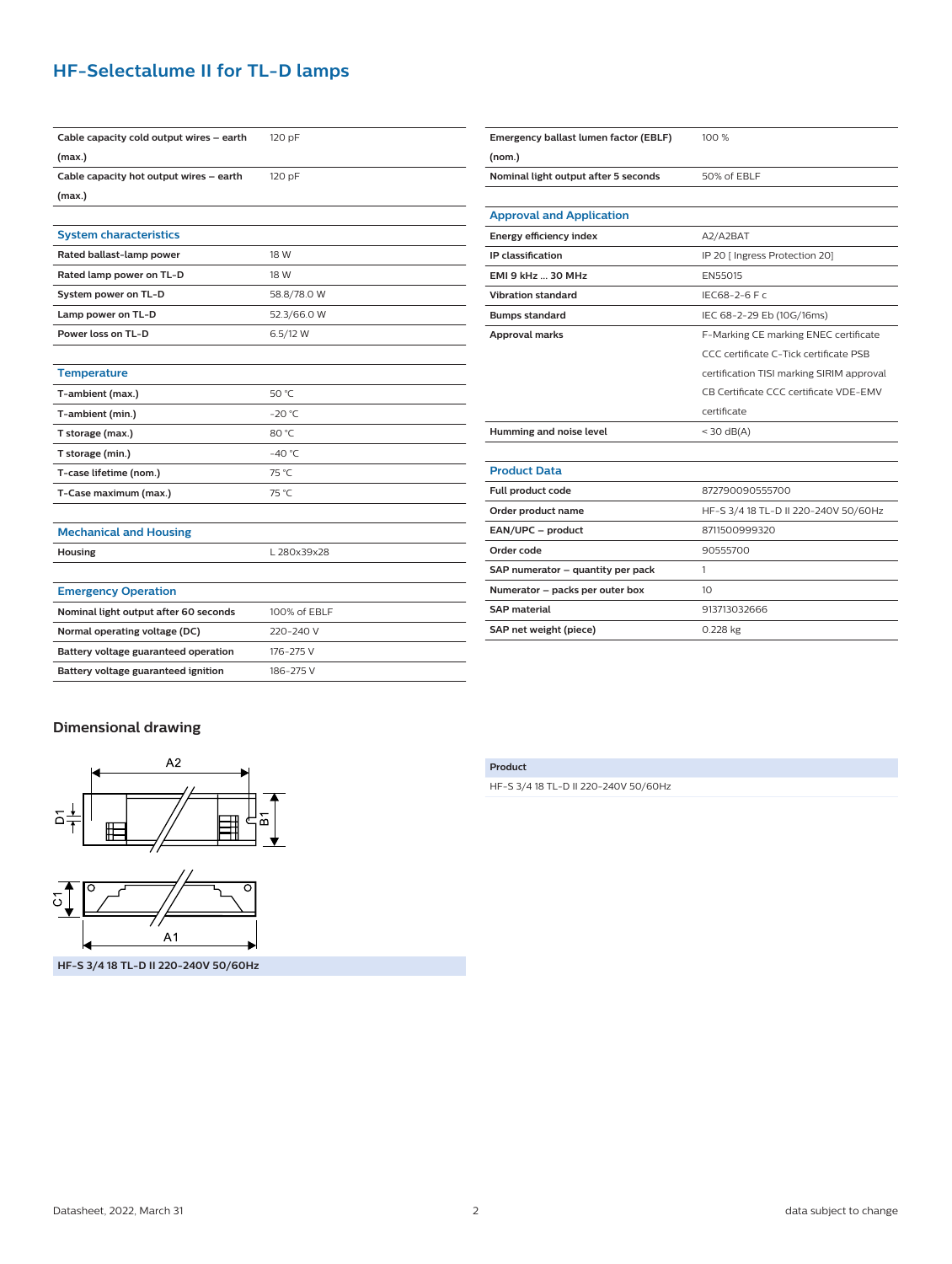### **HF-Selectalume II for TL-D lamps**

| Cable capacity cold output wires - earth | 120 pF          |
|------------------------------------------|-----------------|
| (max.)                                   |                 |
| Cable capacity hot output wires - earth  | 120 pF          |
| (max.)                                   |                 |
|                                          |                 |
| <b>System characteristics</b>            |                 |
| Rated ballast-lamp power                 | 18 W            |
| Rated lamp power on TL-D                 | 18 W            |
| System power on TL-D                     | 58.8/78.0 W     |
| Lamp power on TL-D                       | 52.3/66.0 W     |
| Power loss on TL-D                       | 6.5/12 W        |
|                                          |                 |
| <b>Temperature</b>                       |                 |
| T-ambient (max.)                         | 50 °C           |
| T-ambient (min.)                         | $-20 °C$        |
| T storage (max.)                         | 80 °C           |
| T storage (min.)                         | $-40^{\circ}$ C |
| T-case lifetime (nom.)                   | 75 °C           |
| T-Case maximum (max.)                    | 75 °C           |
|                                          |                 |
| <b>Mechanical and Housing</b>            |                 |
| <b>Housing</b>                           | L 280x39x28     |
|                                          |                 |
| <b>Emergency Operation</b>               |                 |
| Nominal light output after 60 seconds    | 100% of EBLF    |
| Normal operating voltage (DC)            | 220-240 V       |
| Battery voltage guaranteed operation     | 176-275 V       |
| Battery voltage guaranteed ignition      | 186-275 V       |

| Emergency ballast lumen factor (EBLF) | 100 %                                     |
|---------------------------------------|-------------------------------------------|
| (nom.)                                |                                           |
| Nominal light output after 5 seconds  | 50% of EBLF                               |
|                                       |                                           |
| <b>Approval and Application</b>       |                                           |
| Energy efficiency index               | A2/A2BAT                                  |
| IP classification                     | IP 20 [ Ingress Protection 20]            |
| <b>EMI 9 kHz  30 MHz</b>              | EN55015                                   |
| <b>Vibration standard</b>             | IEC68-2-6 F c                             |
| <b>Bumps standard</b>                 | IEC 68-2-29 Eb (10G/16ms)                 |
| <b>Approval marks</b>                 | F-Marking CE marking ENEC certificate     |
|                                       | CCC certificate C-Tick certificate PSB    |
|                                       | certification TISI marking SIRIM approval |
|                                       | CB Certificate CCC certificate VDE-EMV    |
|                                       | certificate                               |
| Humming and noise level               | $<$ 30 dB(A)                              |
|                                       |                                           |
| <b>Product Data</b>                   |                                           |
| Full product code                     | 872790090555700                           |
| Order product name                    | HF-S 3/4 18 TL-D II 220-240V 50/60Hz      |
| EAN/UPC - product                     | 8711500999320                             |
| Order code                            | 90555700                                  |
| SAP numerator - quantity per pack     | 1                                         |
| Numerator - packs per outer box       | 10                                        |
| <b>SAP</b> material                   | 913713032666                              |
| SAP net weight (piece)                | 0.228 kg                                  |
|                                       |                                           |

#### **Dimensional drawing**



#### **Product**

HF-S 3/4 18 TL-D II 220-240V 50/60Hz